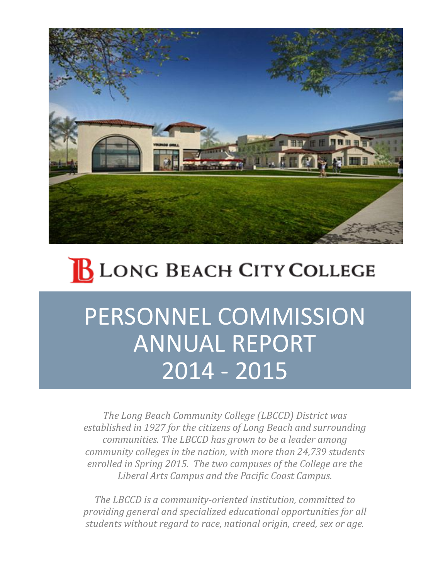

# **BLONG BEACH CITY COLLEGE**

## PERSONNEL COMMISSION ANNUAL REPORT 2014 - 2015

*The Long Beach Community College (LBCCD) District was established in 1927 for the citizens of Long Beach and surrounding communities. The LBCCD has grown to be a leader among community colleges in the nation, with more than 24,739 students enrolled in Spring 2015. The two campuses of the College are the Liberal Arts Campus and the Pacific Coast Campus.*

*The LBCCD is a community-oriented institution, committed to providing general and specialized educational opportunities for all students without regard to race, national origin, creed, sex or age.*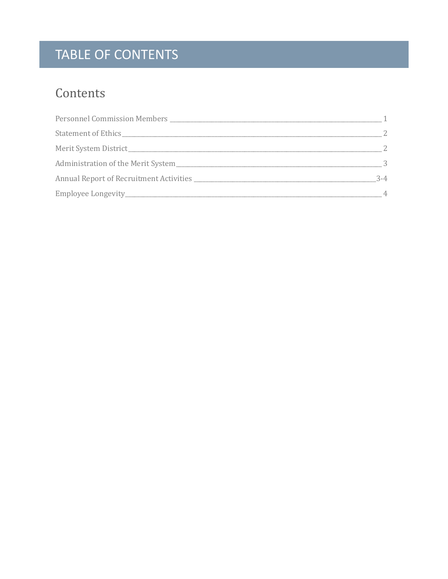## TABLE OF CONTENTS

### Contents

| - 2           |
|---------------|
| 2             |
| $\mathcal{S}$ |
| $3 - 4$       |
|               |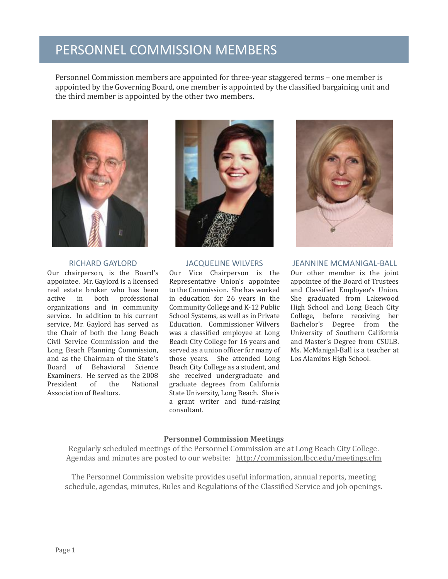### PERSONNEL COMMISSION MEMBERS

Personnel Commission members are appointed for three-year staggered terms – one member is appointed by the Governing Board, one member is appointed by the classified bargaining unit and the third member is appointed by the other two members.



#### RICHARD GAYLORD

Our chairperson, is the Board's appointee. Mr. Gaylord is a licensed real estate broker who has been active in both professional organizations and in community service. In addition to his current service, Mr. Gaylord has served as the Chair of both the Long Beach Civil Service Commission and the Long Beach Planning Commission, and as the Chairman of the State's Board of Behavioral Science Examiners. He served as the 2008 President of the National Association of Realtors.



#### JACQUELINE WILVERS

Our Vice Chairperson is the Representative Union's appointee to the Commission. She has worked in education for 26 years in the Community College and K-12 Public School Systems, as well as in Private Education. Commissioner Wilvers was a classified employee at Long Beach City College for 16 years and served as a union officer for many of those years. She attended Long Beach City College as a student, and she received undergraduate and graduate degrees from California State University, Long Beach. She is a grant writer and fund-raising consultant.



JEANNINE MCMANIGAL-BALL Our other member is the joint appointee of the Board of Trustees and Classified Employee's Union. She graduated from Lakewood High School and Long Beach City College, before receiving her Bachelor's Degree from the University of Southern California and Master's Degree from CSULB. Ms. McManigal-Ball is a teacher at Los Alamitos High School.

#### **Personnel Commission Meetings**

Regularly scheduled meetings of the Personnel Commission are at Long Beach City College. Agendas and minutes are posted to our website: <http://commission.lbcc.edu/meetings.cfm>

The Personnel Commission website provides useful information, annual reports, meeting schedule, agendas, minutes, Rules and Regulations of the Classified Service and job openings.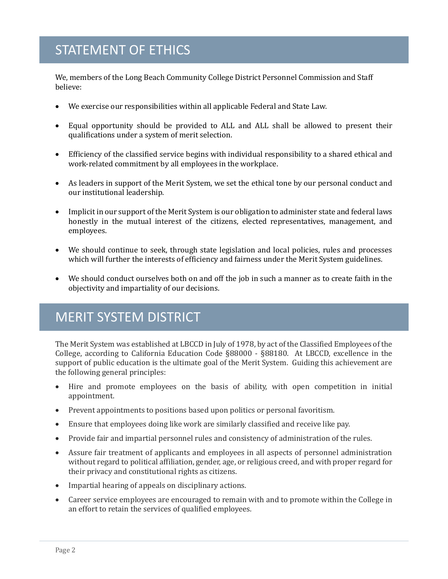### STATEMENT OF ETHICS

We, members of the Long Beach Community College District Personnel Commission and Staff believe:

- We exercise our responsibilities within all applicable Federal and State Law.
- Equal opportunity should be provided to ALL and ALL shall be allowed to present their qualifications under a system of merit selection.
- Efficiency of the classified service begins with individual responsibility to a shared ethical and work-related commitment by all employees in the workplace.
- As leaders in support of the Merit System, we set the ethical tone by our personal conduct and our institutional leadership.
- Implicit in our support of the Merit System is our obligation to administer state and federal laws honestly in the mutual interest of the citizens, elected representatives, management, and employees.
- We should continue to seek, through state legislation and local policies, rules and processes which will further the interests of efficiency and fairness under the Merit System guidelines.
- We should conduct ourselves both on and off the job in such a manner as to create faith in the objectivity and impartiality of our decisions.

### MERIT SYSTEM DISTRICT

The Merit System was established at LBCCD in July of 1978, by act of the Classified Employees of the College, according to California Education Code §88000 - §88180. At LBCCD, excellence in the support of public education is the ultimate goal of the Merit System. Guiding this achievement are the following general principles:

- Hire and promote employees on the basis of ability, with open competition in initial appointment.
- Prevent appointments to positions based upon politics or personal favoritism.
- Ensure that employees doing like work are similarly classified and receive like pay.
- Provide fair and impartial personnel rules and consistency of administration of the rules.
- Assure fair treatment of applicants and employees in all aspects of personnel administration without regard to political affiliation, gender, age, or religious creed, and with proper regard for their privacy and constitutional rights as citizens.
- Impartial hearing of appeals on disciplinary actions.
- Career service employees are encouraged to remain with and to promote within the College in an effort to retain the services of qualified employees.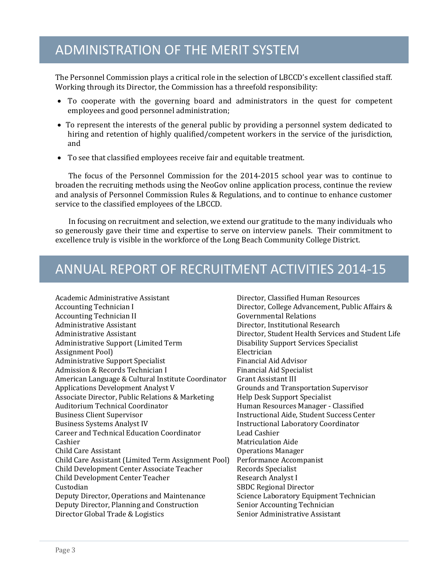### ADMINISTRATION OF THE MERIT SYSTEM

The Personnel Commission plays a critical role in the selection of LBCCD's excellent classified staff. Working through its Director, the Commission has a threefold responsibility:

- To cooperate with the governing board and administrators in the quest for competent employees and good personnel administration;
- To represent the interests of the general public by providing a personnel system dedicated to hiring and retention of highly qualified/competent workers in the service of the jurisdiction, and
- To see that classified employees receive fair and equitable treatment.

The focus of the Personnel Commission for the 2014-2015 school year was to continue to broaden the recruiting methods using the NeoGov online application process, continue the review and analysis of Personnel Commission Rules & Regulations, and to continue to enhance customer service to the classified employees of the LBCCD.

In focusing on recruitment and selection, we extend our gratitude to the many individuals who so generously gave their time and expertise to serve on interview panels. Their commitment to excellence truly is visible in the workforce of the Long Beach Community College District.

### ANNUAL REPORT OF RECRUITMENT ACTIVITIES 2014-15

Academic Administrative Assistant Accounting Technician I Accounting Technician II Administrative Assistant Administrative Assistant Administrative Support (Limited Term Assignment Pool) Administrative Support Specialist Admission & Records Technician I American Language & Cultural Institute Coordinator Applications Development Analyst V Associate Director, Public Relations & Marketing Auditorium Technical Coordinator Business Client Supervisor Business Systems Analyst IV Career and Technical Education Coordinator Cashier Child Care Assistant Child Care Assistant (Limited Term Assignment Pool) Child Development Center Associate Teacher Child Development Center Teacher Custodian Deputy Director, Operations and Maintenance Deputy Director, Planning and Construction Director Global Trade & Logistics

Director, Classified Human Resources Director, College Advancement, Public Affairs & Governmental Relations Director, Institutional Research Director, Student Health Services and Student Life Disability Support Services Specialist Electrician Financial Aid Advisor Financial Aid Specialist Grant Assistant III Grounds and Transportation Supervisor Help Desk Support Specialist Human Resources Manager - Classified Instructional Aide, Student Success Center Instructional Laboratory Coordinator Lead Cashier Matriculation Aide Operations Manager Performance Accompanist Records Specialist Research Analyst I SBDC Regional Director Science Laboratory Equipment Technician Senior Accounting Technician Senior Administrative Assistant